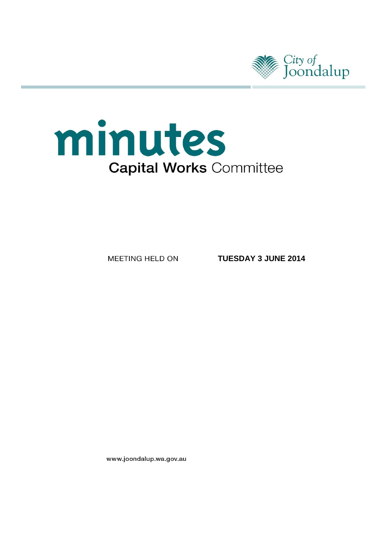



MEETING HELD ON

**TUESDAY 3 JUNE 2014**

www.joondalup.wa.gov.au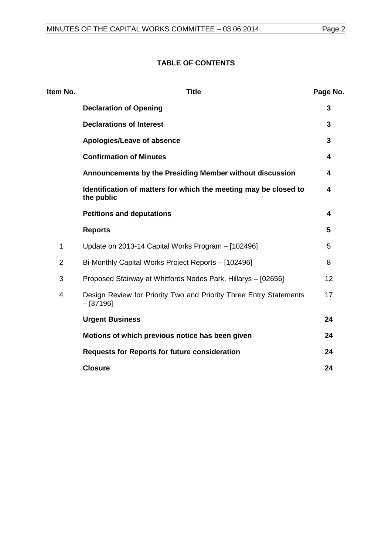# **TABLE OF CONTENTS**

| Item No.       | <b>Title</b>                                                                      | Page No. |
|----------------|-----------------------------------------------------------------------------------|----------|
|                | <b>Declaration of Opening</b>                                                     | 3        |
|                | <b>Declarations of Interest</b>                                                   | 3        |
|                | Apologies/Leave of absence                                                        | 3        |
|                | <b>Confirmation of Minutes</b>                                                    | 4        |
|                | Announcements by the Presiding Member without discussion                          | 4        |
|                | Identification of matters for which the meeting may be closed to<br>the public    | 4        |
|                | <b>Petitions and deputations</b>                                                  | 4        |
|                | <b>Reports</b>                                                                    | 5        |
| 1              | Update on 2013-14 Capital Works Program - [102496]                                | 5        |
| $\overline{2}$ | Bi-Monthly Capital Works Project Reports - [102496]                               | 8        |
| 3              | Proposed Stairway at Whitfords Nodes Park, Hillarys - [02656]                     | 12       |
| 4              | Design Review for Priority Two and Priority Three Entry Statements<br>$-$ [37196] | 17       |
|                | <b>Urgent Business</b>                                                            | 24       |
|                | Motions of which previous notice has been given                                   | 24       |
|                | <b>Requests for Reports for future consideration</b>                              | 24       |
|                | <b>Closure</b>                                                                    | 24       |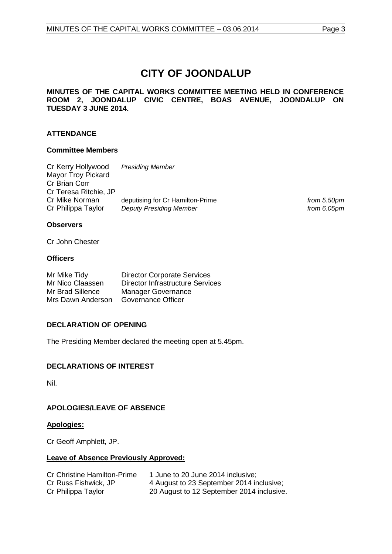# **CITY OF JOONDALUP**

**MINUTES OF THE CAPITAL WORKS COMMITTEE MEETING HELD IN CONFERENCE ROOM 2, JOONDALUP CIVIC CENTRE, BOAS AVENUE, JOONDALUP ON TUESDAY 3 JUNE 2014.** 

# **ATTENDANCE**

#### **Committee Members**

| Cr Kerry Hollywood        | <b>Presiding Member</b>          |
|---------------------------|----------------------------------|
| <b>Mayor Troy Pickard</b> |                                  |
| Cr Brian Corr             |                                  |
| Cr Teresa Ritchie, JP     |                                  |
| Cr Mike Norman            | deputising for Cr Hamilton-Prime |
| Cr Philippa Taylor        | <b>Deputy Presiding Member</b>   |

from 5.50pm from 6.05pm

# **Observers**

Cr John Chester

#### **Officers**

| Mr Mike Tidy      | <b>Director Corporate Services</b>      |
|-------------------|-----------------------------------------|
| Mr Nico Claassen  | <b>Director Infrastructure Services</b> |
| Mr Brad Sillence  | <b>Manager Governance</b>               |
| Mrs Dawn Anderson | Governance Officer                      |

# <span id="page-2-0"></span>**DECLARATION OF OPENING**

The Presiding Member declared the meeting open at 5.45pm.

# <span id="page-2-1"></span>**DECLARATIONS OF INTEREST**

Nil.

# <span id="page-2-2"></span>**APOLOGIES/LEAVE OF ABSENCE**

#### **Apologies:**

Cr Geoff Amphlett, JP.

# **Leave of Absence Previously Approved:**

<span id="page-2-3"></span>

| <b>Cr Christine Hamilton-Prime</b> | 1 June to 20 June 2014 inclusive;         |
|------------------------------------|-------------------------------------------|
| Cr Russ Fishwick, JP               | 4 August to 23 September 2014 inclusive;  |
| Cr Philippa Taylor                 | 20 August to 12 September 2014 inclusive. |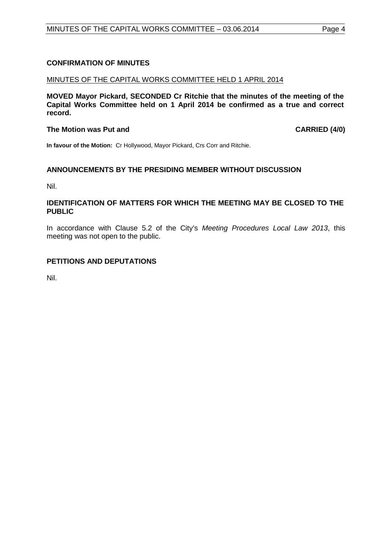# **CONFIRMATION OF MINUTES**

#### MINUTES OF THE CAPITAL WORKS COMMITTEE HELD 1 APRIL 2014

**MOVED Mayor Pickard, SECONDED Cr Ritchie that the minutes of the meeting of the Capital Works Committee held on 1 April 2014 be confirmed as a true and correct record.**

#### **The Motion was Put and CARRIED (4/0)**

**In favour of the Motion:** Cr Hollywood, Mayor Pickard, Crs Corr and Ritchie.

# <span id="page-3-0"></span>**ANNOUNCEMENTS BY THE PRESIDING MEMBER WITHOUT DISCUSSION**

Nil.

#### <span id="page-3-1"></span>**IDENTIFICATION OF MATTERS FOR WHICH THE MEETING MAY BE CLOSED TO THE PUBLIC**

In accordance with Clause 5.2 of the City's *Meeting Procedures Local Law 2013*, this meeting was not open to the public.

# <span id="page-3-2"></span>**PETITIONS AND DEPUTATIONS**

Nil.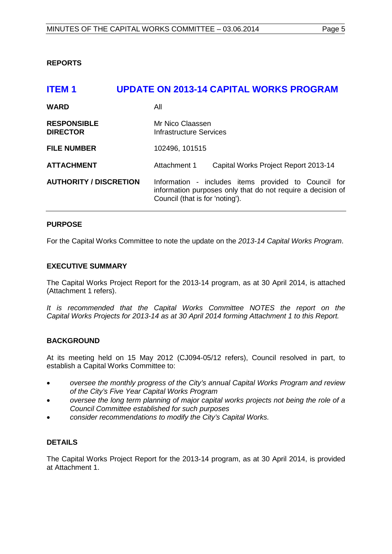<span id="page-4-0"></span>**REPORTS**

<span id="page-4-1"></span>

| <b>ITEM1</b>                          | UPDATE ON 2013-14 CAPITAL WORKS PROGRAM                                                                                                                |
|---------------------------------------|--------------------------------------------------------------------------------------------------------------------------------------------------------|
| <b>WARD</b>                           | All                                                                                                                                                    |
| <b>RESPONSIBLE</b><br><b>DIRECTOR</b> | Mr Nico Claassen<br>Infrastructure Services                                                                                                            |
| <b>FILE NUMBER</b>                    | 102496, 101515                                                                                                                                         |
| <b>ATTACHMENT</b>                     | Attachment 1<br>Capital Works Project Report 2013-14                                                                                                   |
| <b>AUTHORITY / DISCRETION</b>         | Information - includes items provided to Council for<br>information purposes only that do not require a decision of<br>Council (that is for 'noting'). |

# **PURPOSE**

For the Capital Works Committee to note the update on the *2013-14 Capital Works Program*.

#### **EXECUTIVE SUMMARY**

The Capital Works Project Report for the 2013-14 program, as at 30 April 2014, is attached (Attachment 1 refers).

*It is recommended that the Capital Works Committee NOTES the report on the Capital Works Projects for 2013-14 as at 30 April 2014 forming Attachment 1 to this Report.*

# **BACKGROUND**

At its meeting held on 15 May 2012 (CJ094-05/12 refers), Council resolved in part, to establish a Capital Works Committee to:

- *oversee the monthly progress of the City's annual Capital Works Program and review of the City's Five Year Capital Works Program*
- *oversee the long term planning of major capital works projects not being the role of a Council Committee established for such purposes*
- *consider recommendations to modify the City's Capital Works.*

# **DETAILS**

The Capital Works Project Report for the 2013-14 program, as at 30 April 2014, is provided at Attachment 1.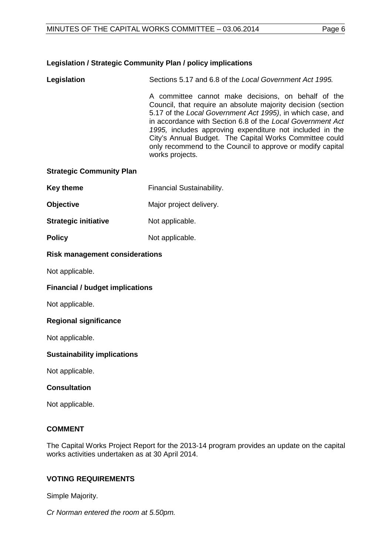# **Legislation / Strategic Community Plan / policy implications**

**Legislation** Sections 5.17 and 6.8 of the *Local Government Act 1995.* A committee cannot make decisions, on behalf of the Council, that require an absolute majority decision (section 5.17 of the *Local Government Act 1995)*, in which case, and in accordance with Section 6.8 of the *Local Government Act 1995,* includes approving expenditure not included in the City's Annual Budget. The Capital Works Committee could only recommend to the Council to approve or modify capital works projects.

# **Strategic Community Plan**

- **Key theme** Financial Sustainability.
- **Objective** Major project delivery.
- **Strategic initiative** Not applicable.
- **Policy** Not applicable.

#### **Risk management considerations**

Not applicable.

# **Financial / budget implications**

Not applicable.

# **Regional significance**

Not applicable.

# **Sustainability implications**

Not applicable.

# **Consultation**

Not applicable.

# **COMMENT**

The Capital Works Project Report for the 2013-14 program provides an update on the capital works activities undertaken as at 30 April 2014.

# **VOTING REQUIREMENTS**

Simple Majority.

*Cr Norman entered the room at 5.50pm.*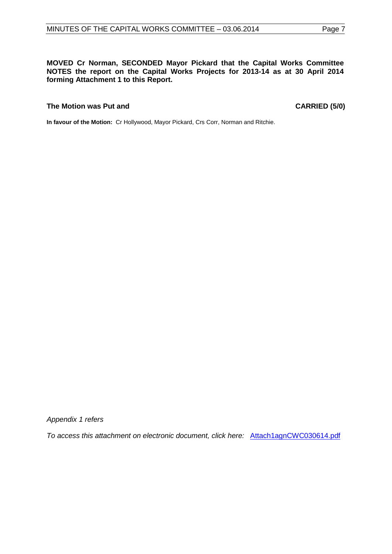# **MOVED Cr Norman, SECONDED Mayor Pickard that the Capital Works Committee NOTES the report on the Capital Works Projects for 2013-14 as at 30 April 2014 forming Attachment 1 to this Report.**

#### **The Motion was Put and CARRIED (5/0)**

**In favour of the Motion:** Cr Hollywood, Mayor Pickard, Crs Corr, Norman and Ritchie.

*Appendix 1 refers*

*[To access this attachment on electronic document, click here:](http://www.joondalup.wa.gov.au/files/committees/CWOC/2014/Attach1agnCWC030614.pdf)* Attach1agnCWC030614.pdf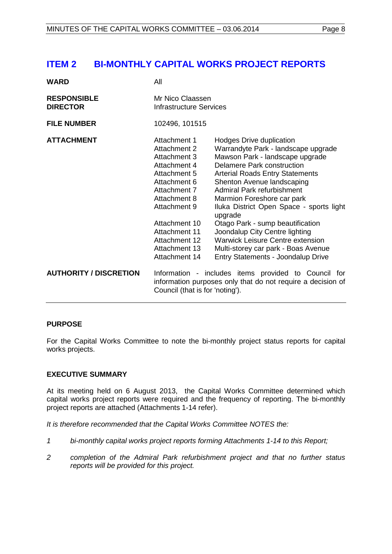# <span id="page-7-0"></span>**ITEM 2 BI-MONTHLY CAPITAL WORKS PROJECT REPORTS**

| <b>WARD</b>                           | All                                                                                                                                                                                                                               |                                                                                                                                                                                                                                                                                                                                                                                                                                                                                                                                  |  |
|---------------------------------------|-----------------------------------------------------------------------------------------------------------------------------------------------------------------------------------------------------------------------------------|----------------------------------------------------------------------------------------------------------------------------------------------------------------------------------------------------------------------------------------------------------------------------------------------------------------------------------------------------------------------------------------------------------------------------------------------------------------------------------------------------------------------------------|--|
| <b>RESPONSIBLE</b><br><b>DIRECTOR</b> | Mr Nico Claassen<br><b>Infrastructure Services</b>                                                                                                                                                                                |                                                                                                                                                                                                                                                                                                                                                                                                                                                                                                                                  |  |
| <b>FILE NUMBER</b>                    | 102496, 101515                                                                                                                                                                                                                    |                                                                                                                                                                                                                                                                                                                                                                                                                                                                                                                                  |  |
| <b>ATTACHMENT</b>                     | Attachment 1<br>Attachment 2<br>Attachment 3<br>Attachment 4<br>Attachment 5<br>Attachment 6<br>Attachment 7<br>Attachment 8<br>Attachment 9<br>Attachment 10<br>Attachment 11<br>Attachment 12<br>Attachment 13<br>Attachment 14 | Hodges Drive duplication<br>Warrandyte Park - landscape upgrade<br>Mawson Park - landscape upgrade<br>Delamere Park construction<br><b>Arterial Roads Entry Statements</b><br>Shenton Avenue landscaping<br><b>Admiral Park refurbishment</b><br>Marmion Foreshore car park<br>Iluka District Open Space - sports light<br>upgrade<br>Otago Park - sump beautification<br>Joondalup City Centre lighting<br><b>Warwick Leisure Centre extension</b><br>Multi-storey car park - Boas Avenue<br>Entry Statements - Joondalup Drive |  |
| <b>AUTHORITY / DISCRETION</b>         | Council (that is for 'noting').                                                                                                                                                                                                   | Information - includes items provided to Council for<br>information purposes only that do not require a decision of                                                                                                                                                                                                                                                                                                                                                                                                              |  |

# **PURPOSE**

For the Capital Works Committee to note the bi-monthly project status reports for capital works projects.

# **EXECUTIVE SUMMARY**

At its meeting held on 6 August 2013, the Capital Works Committee determined which capital works project reports were required and the frequency of reporting. The bi-monthly project reports are attached (Attachments 1-14 refer).

*It is therefore recommended that the Capital Works Committee NOTES the:*

- *1 bi-monthly capital works project reports forming Attachments 1-14 to this Report;*
- *2 completion of the Admiral Park refurbishment project and that no further status reports will be provided for this project.*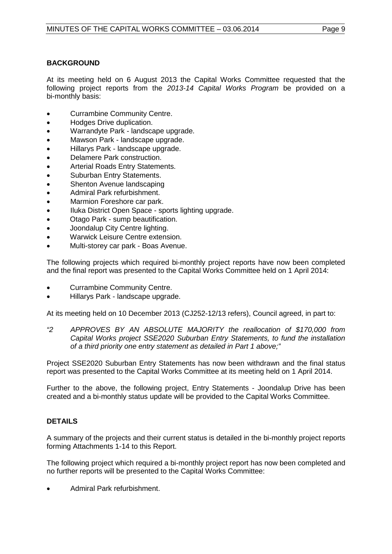# **BACKGROUND**

At its meeting held on 6 August 2013 the Capital Works Committee requested that the following project reports from the *2013-14 Capital Works Program* be provided on a bi-monthly basis:

- Currambine Community Centre.
- Hodges Drive duplication.
- Warrandyte Park landscape upgrade.
- Mawson Park landscape upgrade.
- Hillarys Park landscape upgrade.
- Delamere Park construction.
- Arterial Roads Entry Statements.
- Suburban Entry Statements.
- Shenton Avenue landscaping
- Admiral Park refurbishment.
- Marmion Foreshore car park.
- Iluka District Open Space sports lighting upgrade.
- Otago Park sump beautification.
- Joondalup City Centre lighting.
- Warwick Leisure Centre extension.
- Multi-storey car park Boas Avenue.

The following projects which required bi-monthly project reports have now been completed and the final report was presented to the Capital Works Committee held on 1 April 2014:

- Currambine Community Centre.
- Hillarys Park landscape upgrade.

At its meeting held on 10 December 2013 (CJ252-12/13 refers), Council agreed, in part to:

*"2 APPROVES BY AN ABSOLUTE MAJORITY the reallocation of \$170,000 from Capital Works project SSE2020 Suburban Entry Statements, to fund the installation of a third priority one entry statement as detailed in Part 1 above;"*

Project SSE2020 Suburban Entry Statements has now been withdrawn and the final status report was presented to the Capital Works Committee at its meeting held on 1 April 2014.

Further to the above, the following project, Entry Statements - Joondalup Drive has been created and a bi-monthly status update will be provided to the Capital Works Committee.

# **DETAILS**

A summary of the projects and their current status is detailed in the bi-monthly project reports forming Attachments 1-14 to this Report.

The following project which required a bi-monthly project report has now been completed and no further reports will be presented to the Capital Works Committee:

• Admiral Park refurbishment.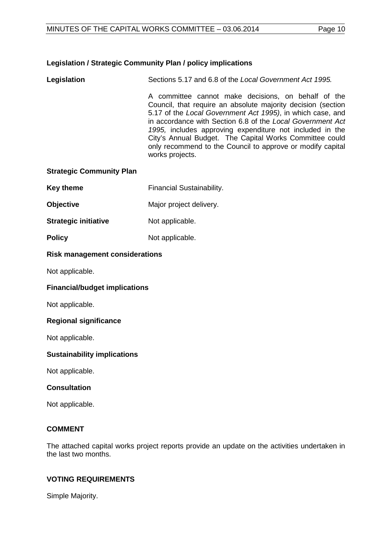# **Legislation / Strategic Community Plan / policy implications**

**Legislation** Sections 5.17 and 6.8 of the *Local Government Act 1995.*  A committee cannot make decisions, on behalf of the Council, that require an absolute majority decision (section 5.17 of the *Local Government Act 1995)*, in which case, and in accordance with Section 6.8 of the *Local Government Act 1995,* includes approving expenditure not included in the City's Annual Budget. The Capital Works Committee could only recommend to the Council to approve or modify capital

works projects.

# **Strategic Community Plan**

- **Key theme** Financial Sustainability.
- **Objective** Major project delivery.
- **Strategic initiative** Not applicable.
- **Policy** Not applicable.

#### **Risk management considerations**

Not applicable.

# **Financial/budget implications**

Not applicable.

# **Regional significance**

Not applicable.

# **Sustainability implications**

Not applicable.

# **Consultation**

Not applicable.

# **COMMENT**

The attached capital works project reports provide an update on the activities undertaken in the last two months.

# **VOTING REQUIREMENTS**

Simple Majority.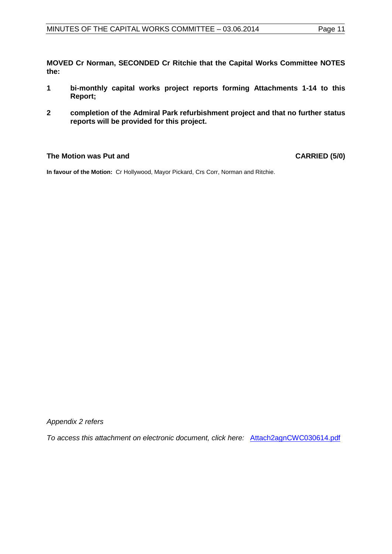**MOVED Cr Norman, SECONDED Cr Ritchie that the Capital Works Committee NOTES the:**

- **1 bi-monthly capital works project reports forming Attachments 1-14 to this Report;**
- **2 completion of the Admiral Park refurbishment project and that no further status reports will be provided for this project.**

# **The Motion was Put and CARRIED (5/0)**

**In favour of the Motion:** Cr Hollywood, Mayor Pickard, Crs Corr, Norman and Ritchie.

*Appendix 2 refers*

*To access this attachment on electronic document, click here:* Attach2agnCWC030614.pdf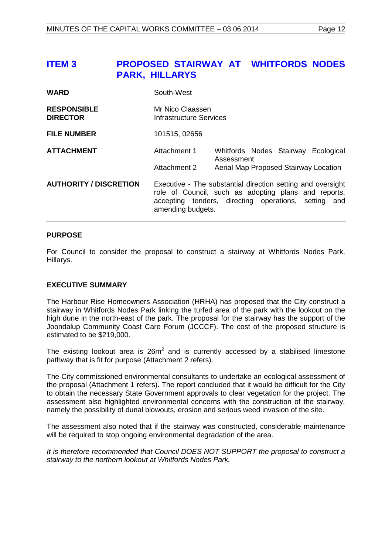# <span id="page-11-0"></span>**ITEM 3 PROPOSED STAIRWAY AT WHITFORDS NODES PARK, HILLARYS**

| <b>WARD</b>                           | South-West                                         |            |                                                                                                                                                                             |
|---------------------------------------|----------------------------------------------------|------------|-----------------------------------------------------------------------------------------------------------------------------------------------------------------------------|
| <b>RESPONSIBLE</b><br><b>DIRECTOR</b> | Mr Nico Claassen<br><b>Infrastructure Services</b> |            |                                                                                                                                                                             |
| <b>FILE NUMBER</b>                    | 101515, 02656                                      |            |                                                                                                                                                                             |
| <b>ATTACHMENT</b>                     | Attachment 1                                       | Assessment | Whitfords Nodes Stairway Ecological                                                                                                                                         |
|                                       | Attachment 2                                       |            | Aerial Map Proposed Stairway Location                                                                                                                                       |
| <b>AUTHORITY / DISCRETION</b>         | amending budgets.                                  |            | Executive - The substantial direction setting and oversight<br>role of Council, such as adopting plans and reports,<br>accepting tenders, directing operations, setting and |

#### **PURPOSE**

For Council to consider the proposal to construct a stairway at Whitfords Nodes Park, Hillarys.

# **EXECUTIVE SUMMARY**

The Harbour Rise Homeowners Association (HRHA) has proposed that the City construct a stairway in Whitfords Nodes Park linking the turfed area of the park with the lookout on the high dune in the north-east of the park. The proposal for the stairway has the support of the Joondalup Community Coast Care Forum (JCCCF). The cost of the proposed structure is estimated to be \$219,000.

The existing lookout area is  $26m^2$  and is currently accessed by a stabilised limestone pathway that is fit for purpose (Attachment 2 refers).

The City commissioned environmental consultants to undertake an ecological assessment of the proposal (Attachment 1 refers). The report concluded that it would be difficult for the City to obtain the necessary State Government approvals to clear vegetation for the project. The assessment also highlighted environmental concerns with the construction of the stairway, namely the possibility of dunal blowouts, erosion and serious weed invasion of the site.

The assessment also noted that if the stairway was constructed, considerable maintenance will be required to stop ongoing environmental degradation of the area.

*It is therefore recommended that Council DOES NOT SUPPORT the proposal to construct a stairway to the northern lookout at Whitfords Nodes Park.*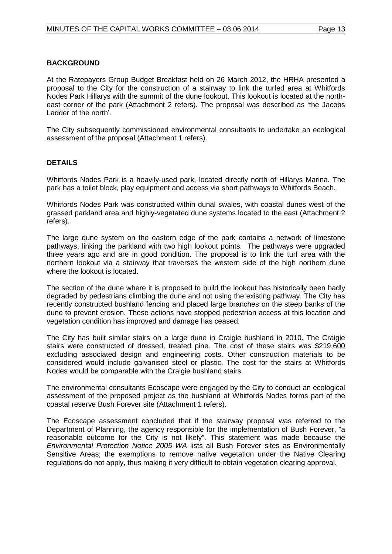#### **BACKGROUND**

At the Ratepayers Group Budget Breakfast held on 26 March 2012, the HRHA presented a proposal to the City for the construction of a stairway to link the turfed area at Whitfords Nodes Park Hillarys with the summit of the dune lookout. This lookout is located at the northeast corner of the park (Attachment 2 refers). The proposal was described as 'the Jacobs Ladder of the north'*.*

The City subsequently commissioned environmental consultants to undertake an ecological assessment of the proposal (Attachment 1 refers).

#### **DETAILS**

Whitfords Nodes Park is a heavily-used park, located directly north of Hillarys Marina. The park has a toilet block, play equipment and access via short pathways to Whitfords Beach.

Whitfords Nodes Park was constructed within dunal swales, with coastal dunes west of the grassed parkland area and highly-vegetated dune systems located to the east (Attachment 2 refers).

The large dune system on the eastern edge of the park contains a network of limestone pathways, linking the parkland with two high lookout points. The pathways were upgraded three years ago and are in good condition. The proposal is to link the turf area with the northern lookout via a stairway that traverses the western side of the high northern dune where the lookout is located.

The section of the dune where it is proposed to build the lookout has historically been badly degraded by pedestrians climbing the dune and not using the existing pathway. The City has recently constructed bushland fencing and placed large branches on the steep banks of the dune to prevent erosion. These actions have stopped pedestrian access at this location and vegetation condition has improved and damage has ceased.

The City has built similar stairs on a large dune in Craigie bushland in 2010. The Craigie stairs were constructed of dressed, treated pine. The cost of these stairs was \$219,600 excluding associated design and engineering costs. Other construction materials to be considered would include galvanised steel or plastic. The cost for the stairs at Whitfords Nodes would be comparable with the Craigie bushland stairs.

The environmental consultants Ecoscape were engaged by the City to conduct an ecological assessment of the proposed project as the bushland at Whitfords Nodes forms part of the coastal reserve Bush Forever site (Attachment 1 refers).

The Ecoscape assessment concluded that if the stairway proposal was referred to the Department of Planning, the agency responsible for the implementation of Bush Forever, "a reasonable outcome for the City is not likely". This statement was made because the *Environmental Protection Notice 2005 WA* lists all Bush Forever sites as Environmentally Sensitive Areas; the exemptions to remove native vegetation under the Native Clearing regulations do not apply, thus making it very difficult to obtain vegetation clearing approval.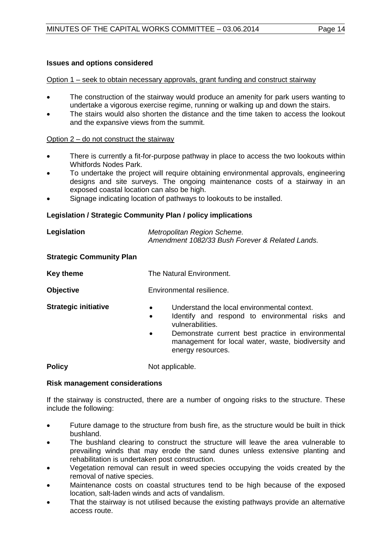# **Issues and options considered**

#### Option 1 – seek to obtain necessary approvals, grant funding and construct stairway

- The construction of the stairway would produce an amenity for park users wanting to undertake a vigorous exercise regime, running or walking up and down the stairs.
- The stairs would also shorten the distance and the time taken to access the lookout and the expansive views from the summit.

#### Option 2 – do not construct the stairway

- There is currently a fit-for-purpose pathway in place to access the two lookouts within Whitfords Nodes Park.
- To undertake the project will require obtaining environmental approvals, engineering designs and site surveys. The ongoing maintenance costs of a stairway in an exposed coastal location can also be high.
- Signage indicating location of pathways to lookouts to be installed.

# **Legislation / Strategic Community Plan / policy implications**

| Legislation | Metropolitan Region Scheme.                     |
|-------------|-------------------------------------------------|
|             | Amendment 1082/33 Bush Forever & Related Lands. |

#### **Strategic Community Plan**

| <b>Key theme</b>            | The Natural Environment.                                                                                                                                                                        |  |  |  |
|-----------------------------|-------------------------------------------------------------------------------------------------------------------------------------------------------------------------------------------------|--|--|--|
| <b>Objective</b>            | Environmental resilience.                                                                                                                                                                       |  |  |  |
| <b>Strategic initiative</b> | Understand the local environmental context.<br>$\bullet$<br>Identify and respond to environmental r<br>$\bullet$<br>vulnerabilities.<br>Demonstrate current best practice in envir<br>$\bullet$ |  |  |  |

best practice in environmental management for local water, waste, biodiversity and energy resources.

to environmental risks and

**Policy** Not applicable.

# **Risk management considerations**

If the stairway is constructed, there are a number of ongoing risks to the structure. These include the following:

- Future damage to the structure from bush fire, as the structure would be built in thick bushland.
- The bushland clearing to construct the structure will leave the area vulnerable to prevailing winds that may erode the sand dunes unless extensive planting and rehabilitation is undertaken post construction.
- Vegetation removal can result in weed species occupying the voids created by the removal of native species.
- Maintenance costs on coastal structures tend to be high because of the exposed location, salt-laden winds and acts of vandalism.
- That the stairway is not utilised because the existing pathways provide an alternative access route.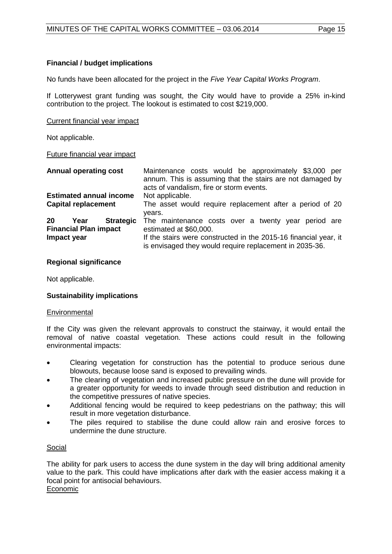# **Financial / budget implications**

No funds have been allocated for the project in the *Five Year Capital Works Program*.

If Lotterywest grant funding was sought, the City would have to provide a 25% in-kind contribution to the project. The lookout is estimated to cost \$219,000.

Current financial year impact

Not applicable.

#### Future financial year impact

| <b>Annual operating cost</b>                                                  | Maintenance costs would be approximately \$3,000 per<br>annum. This is assuming that the stairs are not damaged by<br>acts of vandalism, fire or storm events. |
|-------------------------------------------------------------------------------|----------------------------------------------------------------------------------------------------------------------------------------------------------------|
| <b>Estimated annual income</b>                                                | Not applicable.                                                                                                                                                |
| <b>Capital replacement</b>                                                    | The asset would require replacement after a period of 20<br>vears.                                                                                             |
| 20<br><b>Strategic</b><br>Year<br><b>Financial Plan impact</b><br>Impact year | The maintenance costs over a twenty year period are<br>estimated at \$60,000.<br>If the stairs were constructed in the 2015-16 financial year, it              |
|                                                                               | is envisaged they would require replacement in 2035-36.                                                                                                        |

#### **Regional significance**

Not applicable.

# **Sustainability implications**

#### **Environmental**

If the City was given the relevant approvals to construct the stairway, it would entail the removal of native coastal vegetation. These actions could result in the following environmental impacts:

- Clearing vegetation for construction has the potential to produce serious dune blowouts, because loose sand is exposed to prevailing winds.
- The clearing of vegetation and increased public pressure on the dune will provide for a greater opportunity for weeds to invade through seed distribution and reduction in the competitive pressures of native species.
- Additional fencing would be required to keep pedestrians on the pathway; this will result in more vegetation disturbance.
- The piles required to stabilise the dune could allow rain and erosive forces to undermine the dune structure.

# Social

The ability for park users to access the dune system in the day will bring additional amenity value to the park. This could have implications after dark with the easier access making it a focal point for antisocial behaviours. Economic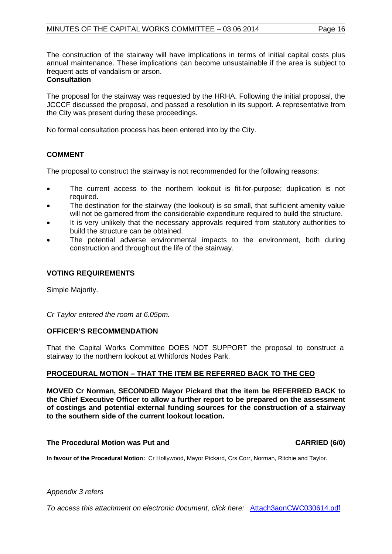The construction of the stairway will have implications in terms of initial capital costs plus annual maintenance. These implications can become unsustainable if the area is subject to frequent acts of vandalism or arson.

#### **Consultation**

The proposal for the stairway was requested by the HRHA. Following the initial proposal, the JCCCF discussed the proposal, and passed a resolution in its support. A representative from the City was present during these proceedings.

No formal consultation process has been entered into by the City.

# **COMMENT**

The proposal to construct the stairway is not recommended for the following reasons:

- The current access to the northern lookout is fit-for-purpose; duplication is not required.
- The destination for the stairway (the lookout) is so small, that sufficient amenity value will not be garnered from the considerable expenditure required to build the structure.
- It is very unlikely that the necessary approvals required from statutory authorities to build the structure can be obtained.
- The potential adverse environmental impacts to the environment, both during construction and throughout the life of the stairway.

#### **VOTING REQUIREMENTS**

Simple Majority.

*Cr Taylor entered the room at 6.05pm.*

#### **OFFICER'S RECOMMENDATION**

That the Capital Works Committee DOES NOT SUPPORT the proposal to construct a stairway to the northern lookout at Whitfords Nodes Park.

# **PROCEDURAL MOTION – THAT THE ITEM BE REFERRED BACK TO THE CEO**

**MOVED Cr Norman, SECONDED Mayor Pickard that the item be REFERRED BACK to the Chief Executive Officer to allow a further report to be prepared on the assessment of costings and potential external funding sources for the construction of a stairway to the southern side of the current lookout location.** 

#### **The Procedural Motion was Put and CARRIED (6/0)**

**In favour of the Procedural Motion:** Cr Hollywood, Mayor Pickard, Crs Corr, Norman, Ritchie and Taylor.

#### *Appendix 3 refers*

*[To access this attachment on electronic document, click here:](http://www.joondalup.wa.gov.au/files/committees/CWOC/2014/Attach3agnCWC030614.pdf)* Attach3agnCWC030614.pdf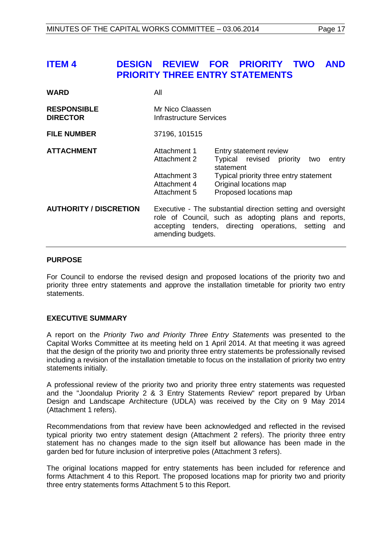# <span id="page-16-0"></span>**ITEM 4 DESIGN REVIEW FOR PRIORITY TWO AND PRIORITY THREE ENTRY STATEMENTS**

| <b>WARD</b>                           | All                                                                          |                                                                                                                                                                               |  |
|---------------------------------------|------------------------------------------------------------------------------|-------------------------------------------------------------------------------------------------------------------------------------------------------------------------------|--|
| <b>RESPONSIBLE</b><br><b>DIRECTOR</b> | Mr Nico Claassen<br>Infrastructure Services                                  |                                                                                                                                                                               |  |
| <b>FILE NUMBER</b>                    | 37196, 101515                                                                |                                                                                                                                                                               |  |
| <b>ATTACHMENT</b>                     | Attachment 1<br>Attachment 2<br>Attachment 3<br>Attachment 4<br>Attachment 5 | Entry statement review<br>Typical revised priority<br>entry<br>two<br>statement<br>Typical priority three entry statement<br>Original locations map<br>Proposed locations map |  |
| <b>AUTHORITY / DISCRETION</b>         | amending budgets.                                                            | Executive - The substantial direction setting and oversight<br>role of Council, such as adopting plans and reports,<br>accepting tenders, directing operations, setting and   |  |

#### **PURPOSE**

For Council to endorse the revised design and proposed locations of the priority two and priority three entry statements and approve the installation timetable for priority two entry statements.

# **EXECUTIVE SUMMARY**

A report on the *Priority Two and Priority Three Entry Statements* was presented to the Capital Works Committee at its meeting held on 1 April 2014. At that meeting it was agreed that the design of the priority two and priority three entry statements be professionally revised including a revision of the installation timetable to focus on the installation of priority two entry statements initially.

A professional review of the priority two and priority three entry statements was requested and the "Joondalup Priority 2 & 3 Entry Statements Review" report prepared by Urban Design and Landscape Architecture (UDLA) was received by the City on 9 May 2014 (Attachment 1 refers).

Recommendations from that review have been acknowledged and reflected in the revised typical priority two entry statement design (Attachment 2 refers). The priority three entry statement has no changes made to the sign itself but allowance has been made in the garden bed for future inclusion of interpretive poles (Attachment 3 refers).

The original locations mapped for entry statements has been included for reference and forms Attachment 4 to this Report. The proposed locations map for priority two and priority three entry statements forms Attachment 5 to this Report.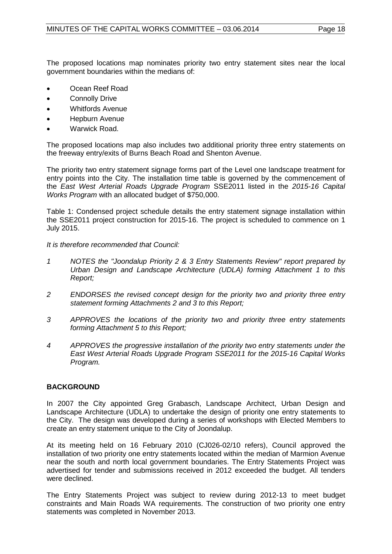The proposed locations map nominates priority two entry statement sites near the local government boundaries within the medians of:

- Ocean Reef Road
- Connolly Drive
- Whitfords Avenue
- Hepburn Avenue
- Warwick Road.

The proposed locations map also includes two additional priority three entry statements on the freeway entry/exits of Burns Beach Road and Shenton Avenue.

The priority two entry statement signage forms part of the Level one landscape treatment for entry points into the City. The installation time table is governed by the commencement of the *East West Arterial Roads Upgrade Program* SSE2011 listed in the *2015-16 Capital Works Program* with an allocated budget of \$750,000.

Table 1: Condensed project schedule details the entry statement signage installation within the SSE2011 project construction for 2015-16. The project is scheduled to commence on 1 July 2015.

*It is therefore recommended that Council:*

- *1 NOTES the "Joondalup Priority 2 & 3 Entry Statements Review" report prepared by Urban Design and Landscape Architecture (UDLA) forming Attachment 1 to this Report;*
- *2 ENDORSES the revised concept design for the priority two and priority three entry statement forming Attachments 2 and 3 to this Report;*
- *3 APPROVES the locations of the priority two and priority three entry statements forming Attachment 5 to this Report;*
- *4 APPROVES the progressive installation of the priority two entry statements under the East West Arterial Roads Upgrade Program SSE2011 for the 2015-16 Capital Works Program.*

# **BACKGROUND**

In 2007 the City appointed Greg Grabasch, Landscape Architect, Urban Design and Landscape Architecture (UDLA) to undertake the design of priority one entry statements to the City. The design was developed during a series of workshops with Elected Members to create an entry statement unique to the City of Joondalup.

At its meeting held on 16 February 2010 (CJ026-02/10 refers), Council approved the installation of two priority one entry statements located within the median of Marmion Avenue near the south and north local government boundaries. The Entry Statements Project was advertised for tender and submissions received in 2012 exceeded the budget. All tenders were declined.

The Entry Statements Project was subject to review during 2012-13 to meet budget constraints and Main Roads WA requirements. The construction of two priority one entry statements was completed in November 2013.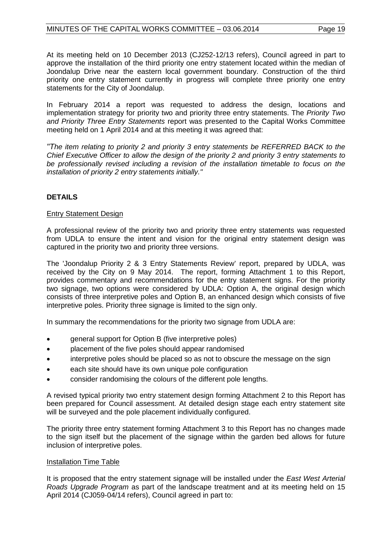At its meeting held on 10 December 2013 (CJ252-12/13 refers), Council agreed in part to approve the installation of the third priority one entry statement located within the median of Joondalup Drive near the eastern local government boundary. Construction of the third priority one entry statement currently in progress will complete three priority one entry statements for the City of Joondalup.

In February 2014 a report was requested to address the design, locations and implementation strategy for priority two and priority three entry statements. The *Priority Two and Priority Three Entry Statements* report was presented to the Capital Works Committee meeting held on 1 April 2014 and at this meeting it was agreed that:

*"The item relating to priority 2 and priority 3 entry statements be REFERRED BACK to the Chief Executive Officer to allow the design of the priority 2 and priority 3 entry statements to be professionally revised including a revision of the installation timetable to focus on the installation of priority 2 entry statements initially."*

# **DETAILS**

# Entry Statement Design

A professional review of the priority two and priority three entry statements was requested from UDLA to ensure the intent and vision for the original entry statement design was captured in the priority two and priority three versions.

The 'Joondalup Priority 2 & 3 Entry Statements Review' report, prepared by UDLA, was received by the City on 9 May 2014. The report, forming Attachment 1 to this Report, provides commentary and recommendations for the entry statement signs. For the priority two signage, two options were considered by UDLA: Option A, the original design which consists of three interpretive poles and Option B, an enhanced design which consists of five interpretive poles. Priority three signage is limited to the sign only.

In summary the recommendations for the priority two signage from UDLA are:

- general support for Option B (five interpretive poles)
- placement of the five poles should appear randomised
- interpretive poles should be placed so as not to obscure the message on the sign
- each site should have its own unique pole configuration
- consider randomising the colours of the different pole lengths.

A revised typical priority two entry statement design forming Attachment 2 to this Report has been prepared for Council assessment. At detailed design stage each entry statement site will be surveyed and the pole placement individually configured.

The priority three entry statement forming Attachment 3 to this Report has no changes made to the sign itself but the placement of the signage within the garden bed allows for future inclusion of interpretive poles.

# Installation Time Table

It is proposed that the entry statement signage will be installed under the *East West Arterial Roads Upgrade Program* as part of the landscape treatment and at its meeting held on 15 April 2014 (CJ059-04/14 refers), Council agreed in part to: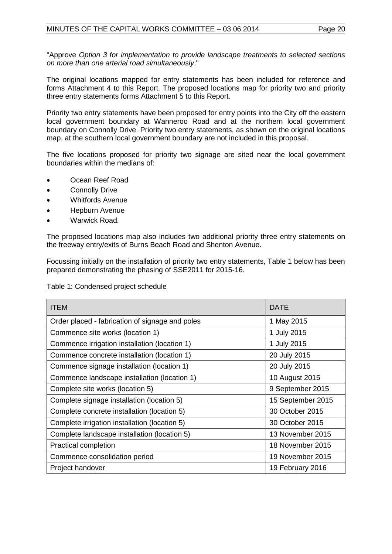"Approve *Option 3 for implementation to provide landscape treatments to selected sections on more than one arterial road simultaneously*."

The original locations mapped for entry statements has been included for reference and forms Attachment 4 to this Report. The proposed locations map for priority two and priority three entry statements forms Attachment 5 to this Report.

Priority two entry statements have been proposed for entry points into the City off the eastern local government boundary at Wanneroo Road and at the northern local government boundary on Connolly Drive. Priority two entry statements, as shown on the original locations map, at the southern local government boundary are not included in this proposal.

The five locations proposed for priority two signage are sited near the local government boundaries within the medians of:

- Ocean Reef Road
- Connolly Drive
- Whitfords Avenue
- Hepburn Avenue
- Warwick Road.

The proposed locations map also includes two additional priority three entry statements on the freeway entry/exits of Burns Beach Road and Shenton Avenue.

Focussing initially on the installation of priority two entry statements, Table 1 below has been prepared demonstrating the phasing of SSE2011 for 2015-16.

| Table 1: Condensed project schedule |  |
|-------------------------------------|--|
|                                     |  |

| <b>ITEM</b>                                     | <b>DATE</b>       |
|-------------------------------------------------|-------------------|
| Order placed - fabrication of signage and poles | 1 May 2015        |
| Commence site works (location 1)                | 1 July 2015       |
| Commence irrigation installation (location 1)   | 1 July 2015       |
| Commence concrete installation (location 1)     | 20 July 2015      |
| Commence signage installation (location 1)      | 20 July 2015      |
| Commence landscape installation (location 1)    | 10 August 2015    |
| Complete site works (location 5)                | 9 September 2015  |
| Complete signage installation (location 5)      | 15 September 2015 |
| Complete concrete installation (location 5)     | 30 October 2015   |
| Complete irrigation installation (location 5)   | 30 October 2015   |
| Complete landscape installation (location 5)    | 13 November 2015  |
| <b>Practical completion</b>                     | 18 November 2015  |
| Commence consolidation period                   | 19 November 2015  |
| Project handover                                | 19 February 2016  |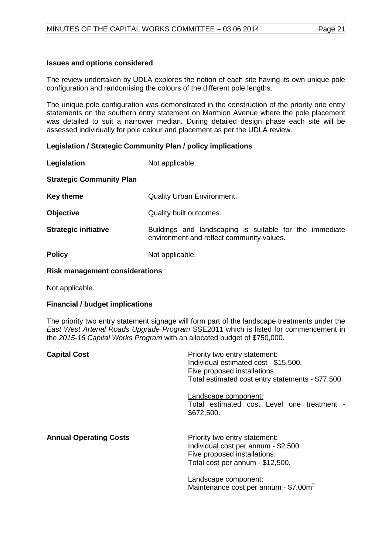#### **Issues and options considered**

The review undertaken by UDLA explores the notion of each site having its own unique pole configuration and randomising the colours of the different pole lengths.

The unique pole configuration was demonstrated in the construction of the priority one entry statements on the southern entry statement on Marmion Avenue where the pole placement was detailed to suit a narrower median. During detailed design phase each site will be assessed individually for pole colour and placement as per the UDLA review.

#### **Legislation / Strategic Community Plan / policy implications**

| Legislation                     | Not applicable.                                                                                      |
|---------------------------------|------------------------------------------------------------------------------------------------------|
| <b>Strategic Community Plan</b> |                                                                                                      |
| <b>Key theme</b>                | <b>Quality Urban Environment.</b>                                                                    |
| <b>Objective</b>                | Quality built outcomes.                                                                              |
| <b>Strategic initiative</b>     | Buildings and landscaping is suitable for the immediate<br>environment and reflect community values. |
| <b>Policy</b>                   | Not applicable.                                                                                      |

#### **Risk management considerations**

Not applicable.

# **Financial / budget implications**

The priority two entry statement signage will form part of the landscape treatments under the *East West Arterial Roads Upgrade Program* SSE2011 which is listed for commencement in the *2015-16 Capital Works Program* with an allocated budget of \$750,000.

| <b>Capital Cost</b>           | Priority two entry statement:<br>Individual estimated cost - \$15,500.<br>Five proposed installations.<br>Total estimated cost entry statements - \$77,500. |
|-------------------------------|-------------------------------------------------------------------------------------------------------------------------------------------------------------|
|                               | Landscape component:<br>Total estimated cost Level one treatment -<br>\$672,500.                                                                            |
| <b>Annual Operating Costs</b> | Priority two entry statement:<br>Individual cost per annum - \$2,500.<br>Five proposed installations.<br>Total cost per annum - \$12,500.                   |
|                               | Landscape component:<br>Maintenance cost per annum - \$7.00m <sup>2</sup>                                                                                   |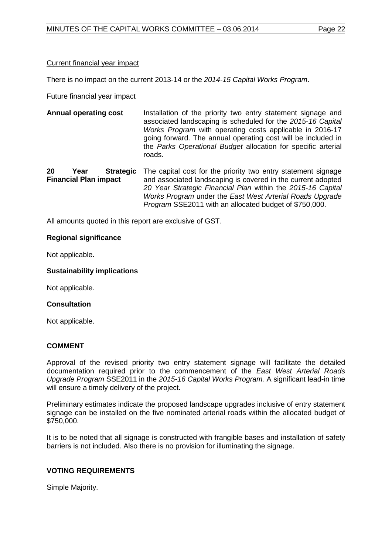# Current financial year impact

There is no impact on the current 2013-14 or the *2014-15 Capital Works Program*.

#### Future financial year impact

**Annual operating cost** Installation of the priority two entry statement signage and associated landscaping is scheduled for the *2015-16 Capital Works Program* with operating costs applicable in 2016-17 going forward. The annual operating cost will be included in the *Parks Operational Budget* allocation for specific arterial roads.

**20 Year Strategic Financial Plan impact**  The capital cost for the priority two entry statement signage and associated landscaping is covered in the current adopted *20 Year Strategic Financial Plan* within the *2015-16 Capital Works Program* under the *East West Arterial Roads Upgrade Program* SSE2011 with an allocated budget of \$750,000.

All amounts quoted in this report are exclusive of GST.

#### **Regional significance**

Not applicable.

#### **Sustainability implications**

Not applicable.

#### **Consultation**

Not applicable.

# **COMMENT**

Approval of the revised priority two entry statement signage will facilitate the detailed documentation required prior to the commencement of the *East West Arterial Roads Upgrade Program* SSE2011 in the *2015-16 Capital Works Program.* A significant lead-in time will ensure a timely delivery of the project.

Preliminary estimates indicate the proposed landscape upgrades inclusive of entry statement signage can be installed on the five nominated arterial roads within the allocated budget of \$750,000.

It is to be noted that all signage is constructed with frangible bases and installation of safety barriers is not included. Also there is no provision for illuminating the signage.

# **VOTING REQUIREMENTS**

Simple Majority.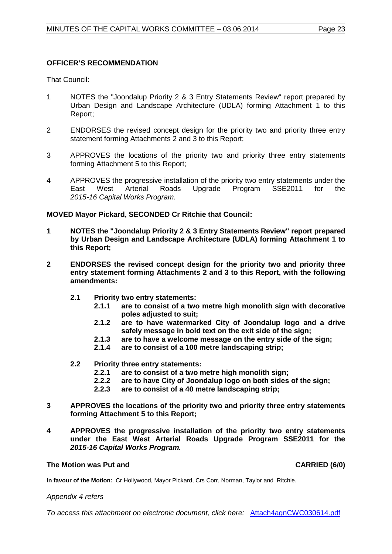#### **OFFICER'S RECOMMENDATION**

That Council:

- 1 NOTES the "Joondalup Priority 2 & 3 Entry Statements Review" report prepared by Urban Design and Landscape Architecture (UDLA) forming Attachment 1 to this Report;
- 2 ENDORSES the revised concept design for the priority two and priority three entry statement forming Attachments 2 and 3 to this Report;
- 3 APPROVES the locations of the priority two and priority three entry statements forming Attachment 5 to this Report;
- 4 APPROVES the progressive installation of the priority two entry statements under the<br>East West Arterial Roads Upgrade Program SSE2011 for the East West Arterial Roads Upgrade Program SSE2011 for the *2015-16 Capital Works Program.*

**MOVED Mayor Pickard, SECONDED Cr Ritchie that Council:**

- **1 NOTES the "Joondalup Priority 2 & 3 Entry Statements Review" report prepared by Urban Design and Landscape Architecture (UDLA) forming Attachment 1 to this Report;**
- **2 ENDORSES the revised concept design for the priority two and priority three entry statement forming Attachments 2 and 3 to this Report, with the following amendments:**
	- **2.1 Priority two entry statements:**
		- **2.1.1 are to consist of a two metre high monolith sign with decorative poles adjusted to suit;**
		- **2.1.2 are to have watermarked City of Joondalup logo and a drive safely message in bold text on the exit side of the sign;**
		- **2.1.3 are to have a welcome message on the entry side of the sign;**
		- **2.1.4 are to consist of a 100 metre landscaping strip;**
	- **2.2 Priority three entry statements:**
		- **2.2.1 are to consist of a two metre high monolith sign;**
		- **2.2.2 are to have City of Joondalup logo on both sides of the sign;**
		- **2.2.3 are to consist of a 40 metre landscaping strip;**
- **3 APPROVES the locations of the priority two and priority three entry statements forming Attachment 5 to this Report;**
- **4 APPROVES the progressive installation of the priority two entry statements under the East West Arterial Roads Upgrade Program SSE2011 for the**  *2015-16 Capital Works Program.*

# **The Motion was Put and CARRIED (6/0)**

**In favour of the Motion:** Cr Hollywood, Mayor Pickard, Crs Corr, Norman, Taylor and Ritchie.

#### *Appendix 4 refers*

*To access this attachment on electronic document, click here:* Attach4agnCWC030614.pdf